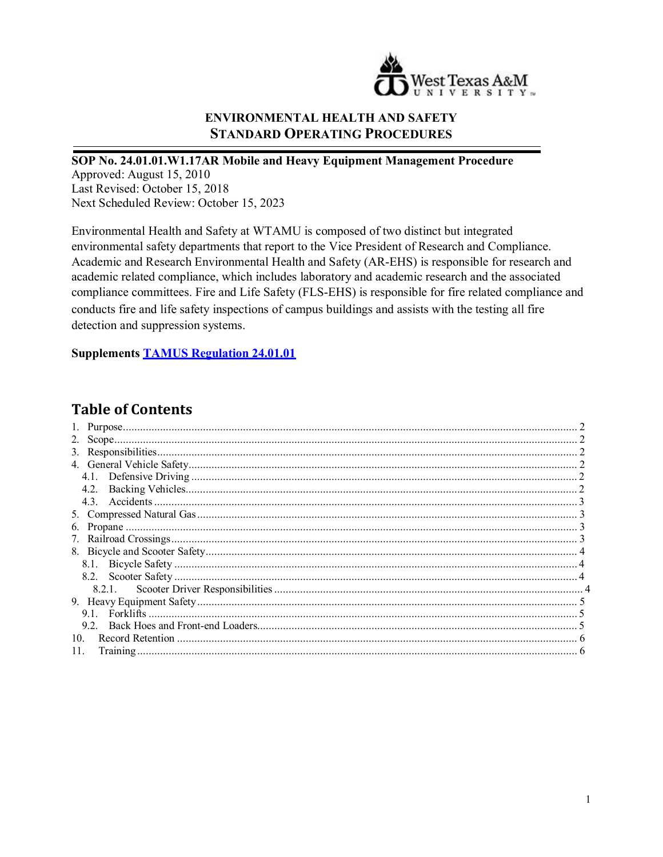

# **ENVIRONMENTAL HEALTH AND SAFETY STANDARD OPERATING PROCEDURES**

SOP No. 24.01.01.W1.17AR Mobile and Heavy Equipment Management Procedure Approved: August 15, 2010 Last Revised: October 15, 2018 Next Scheduled Review: October 15, 2023

Environmental Health and Safety at WTAMU is composed of two distinct but integrated environmental safety departments that report to the Vice President of Research and Compliance. Academic and Research Environmental Health and Safety (AR-EHS) is responsible for research and academic related compliance, which includes laboratory and academic research and the associated compliance committees. Fire and Life Safety (FLS-EHS) is responsible for fire related compliance and conducts fire and life safety inspections of campus buildings and assists with the testing all fire detection and suppression systems.

**Supplements TAMUS Regulation 24.01.01** 

# **Table of Contents**

| 7.              |  |
|-----------------|--|
|                 |  |
|                 |  |
|                 |  |
|                 |  |
|                 |  |
| 9.1             |  |
|                 |  |
| 10 <sub>1</sub> |  |
| 11.             |  |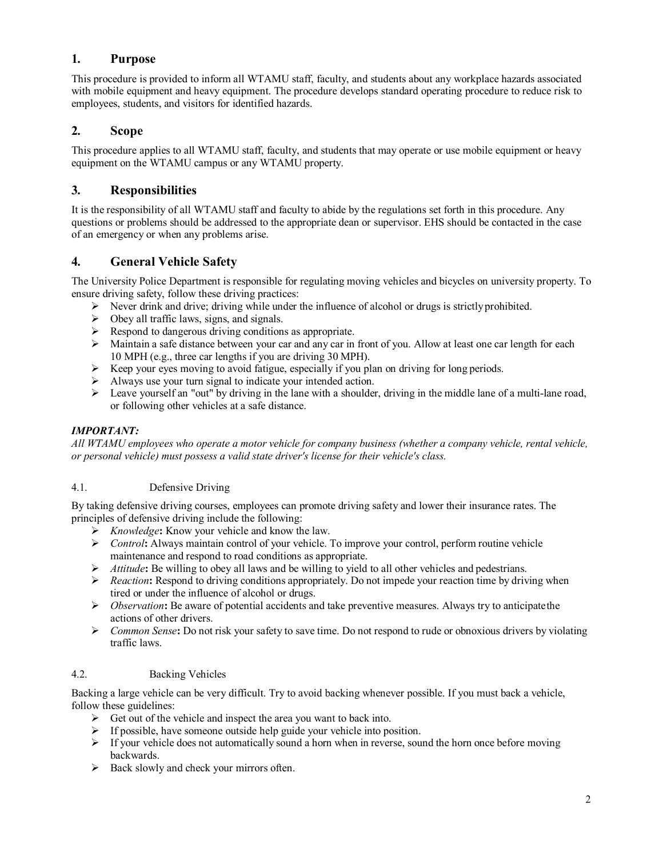### <span id="page-1-0"></span>**1. Purpose**

This procedure is provided to inform all WTAMU staff, faculty, and students about any workplace hazards associated with mobile equipment and heavy equipment. The procedure develops standard operating procedure to reduce risk to employees, students, and visitors for identified hazards.

### <span id="page-1-1"></span>**2. Scope**

This procedure applies to all WTAMU staff, faculty, and students that may operate or use mobile equipment or heavy equipment on the WTAMU campus or any WTAMU property.

## <span id="page-1-2"></span>**3. Responsibilities**

It is the responsibility of all WTAMU staff and faculty to abide by the regulations set forth in this procedure. Any questions or problems should be addressed to the appropriate dean or supervisor. EHS should be contacted in the case of an emergency or when any problems arise.

## <span id="page-1-3"></span>**4. General Vehicle Safety**

The University Police Department is responsible for regulating moving vehicles and bicycles on university property. To ensure driving safety, follow these driving practices:

- $\triangleright$  Never drink and drive; driving while under the influence of alcohol or drugs is strictly prohibited.
- $\triangleright$  Obey all traffic laws, signs, and signals.
- $\triangleright$  Respond to dangerous driving conditions as appropriate.
- $\triangleright$  Maintain a safe distance between your car and any car in front of you. Allow at least one car length for each 10 MPH (e.g., three car lengths if you are driving 30 MPH).
- $\triangleright$  Keep your eyes moving to avoid fatigue, especially if you plan on driving for long periods.
- Always use your turn signal to indicate your intended action.
- $\triangleright$  Leave yourself an "out" by driving in the lane with a shoulder, driving in the middle lane of a multi-lane road, or following other vehicles at a safe distance.

#### *IMPORTANT:*

*All WTAMU employees who operate a motor vehicle for company business (whether a company vehicle, rental vehicle, or personal vehicle) must possess a valid state driver's license for their vehicle's class.*

#### <span id="page-1-4"></span>4.1. Defensive Driving

By taking defensive driving courses, employees can promote driving safety and lower their insurance rates. The principles of defensive driving include the following:

- *Knowledge***:** Know your vehicle and know the law.
- *Control***:** Always maintain control of your vehicle. To improve your control, perform routine vehicle maintenance and respond to road conditions as appropriate.
- *Attitude***:** Be willing to obey all laws and be willing to yield to all other vehicles and pedestrians.
- $\triangleright$  *Reaction*: Respond to driving conditions appropriately. Do not impede your reaction time by driving when tired or under the influence of alcohol or drugs.
- *Observation***:** Be aware of potential accidents and take preventive measures. Always try to anticipatethe actions of other drivers.
- *Common Sense***:** Do not risk your safety to save time. Do not respond to rude or obnoxious drivers by violating traffic laws.

#### <span id="page-1-5"></span>4.2. Backing Vehicles

Backing a large vehicle can be very difficult. Try to avoid backing whenever possible. If you must back a vehicle, follow these guidelines:

- $\triangleright$  Get out of the vehicle and inspect the area you want to back into.
- If possible, have someone outside help guide your vehicle into position.<br>
If your vehicle does not automatically sound a horn when in reverse, source
- If your vehicle does not automatically sound a horn when in reverse, sound the horn once before moving backwards.
- $\triangleright$  Back slowly and check your mirrors often.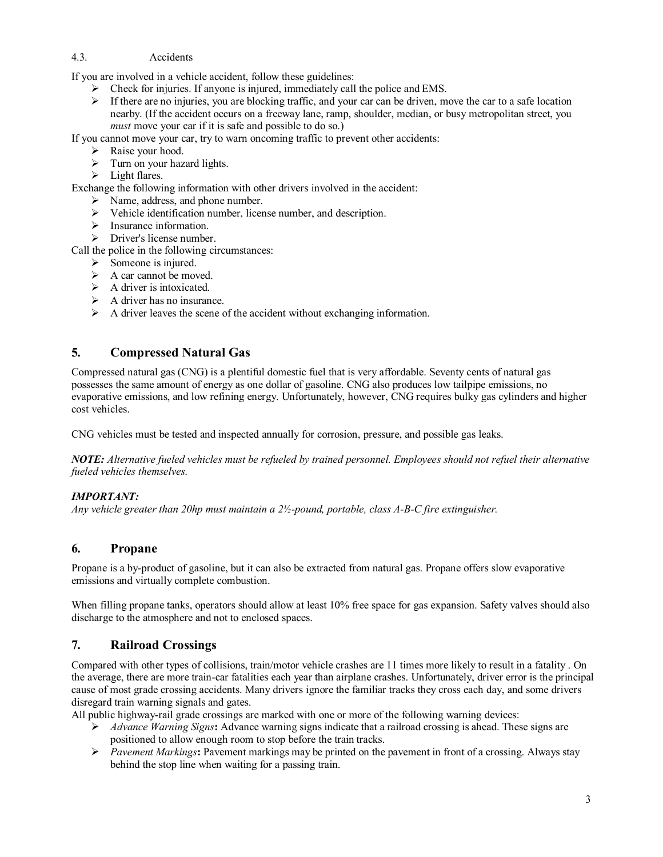#### <span id="page-2-0"></span>4.3. Accidents

If you are involved in a vehicle accident, follow these guidelines:

- Check for injuries. If anyone is injured, immediately call the police and EMS.
- $\triangleright$  If there are no injuries, you are blocking traffic, and your car can be driven, move the car to a safe location nearby. (If the accident occurs on a freeway lane, ramp, shoulder, median, or busy metropolitan street, you *must* move your car if it is safe and possible to do so.)
- If you cannot move your car, try to warn oncoming traffic to prevent other accidents:
	- Raise your hood.
	- $\triangleright$  Turn on your hazard lights.
	- $\triangleright$  Light flares.

Exchange the following information with other drivers involved in the accident:

- $\triangleright$  Name, address, and phone number.
- $\triangleright$  Vehicle identification number, license number, and description.
- $\triangleright$  Insurance information.
- $\triangleright$  Driver's license number.

Call the police in the following circumstances:

- $\triangleright$  Someone is injured.
- $\triangleright$  A car cannot be moved.
- $\triangleright$  A driver is intoxicated.
- $\triangleright$  A driver has no insurance.
- $\triangleright$  A driver leaves the scene of the accident without exchanging information.

### <span id="page-2-1"></span>**5. Compressed Natural Gas**

Compressed natural gas (CNG) is a plentiful domestic fuel that is very affordable. Seventy cents of natural gas possesses the same amount of energy as one dollar of gasoline. CNG also produces low tailpipe emissions, no evaporative emissions, and low refining energy. Unfortunately, however, CNG requires bulky gas cylinders and higher cost vehicles.

CNG vehicles must be tested and inspected annually for corrosion, pressure, and possible gas leaks.

*NOTE: Alternative fueled vehicles must be refueled by trained personnel. Employees should not refuel their alternative fueled vehicles themselves.*

#### *IMPORTANT:*

*Any vehicle greater than 20hp must maintain a 2½-pound, portable, class A-B-C fire extinguisher.*

### <span id="page-2-2"></span>**6. Propane**

Propane is a by-product of gasoline, but it can also be extracted from natural gas. Propane offers slow evaporative emissions and virtually complete combustion.

When filling propane tanks, operators should allow at least 10% free space for gas expansion. Safety valves should also discharge to the atmosphere and not to enclosed spaces.

### <span id="page-2-3"></span>**7. Railroad Crossings**

Compared with other types of collisions, train/motor vehicle crashes are 11 times more likely to result in a fatality . On the average, there are more train-car fatalities each year than airplane crashes. Unfortunately, driver error is the principal cause of most grade crossing accidents. Many drivers ignore the familiar tracks they cross each day, and some drivers disregard train warning signals and gates.

All public highway-rail grade crossings are marked with one or more of the following warning devices:

- *Advance Warning Signs***:** Advance warning signs indicate that a railroad crossing is ahead. These signs are positioned to allow enough room to stop before the train tracks.
- *Pavement Markings***:** Pavement markings may be printed on the pavement in front of a crossing. Always stay behind the stop line when waiting for a passing train.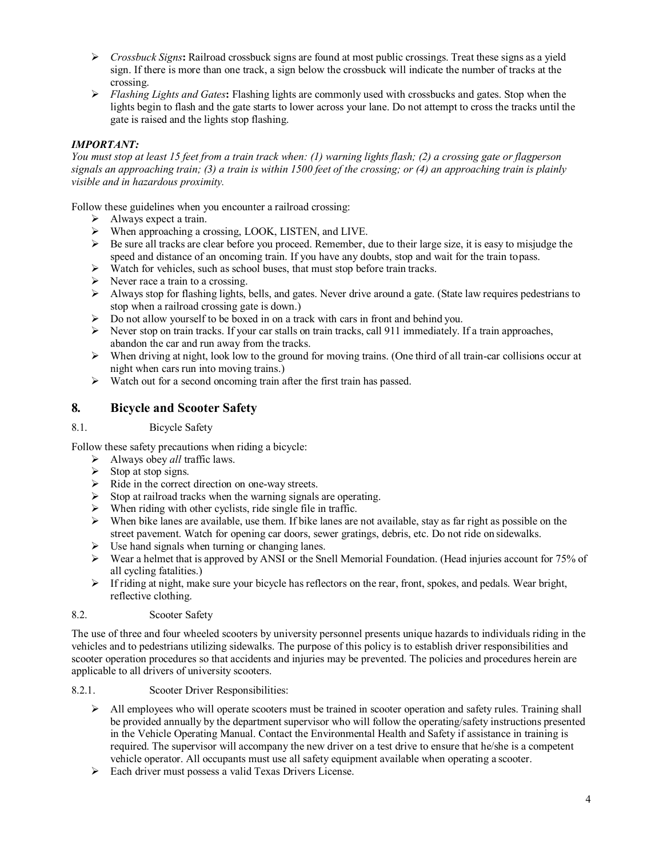- *Crossbuck Signs***:** Railroad crossbuck signs are found at most public crossings. Treat these signs as a yield sign. If there is more than one track, a sign below the crossbuck will indicate the number of tracks at the crossing.
- *Flashing Lights and Gates***:** Flashing lights are commonly used with crossbucks and gates. Stop when the lights begin to flash and the gate starts to lower across your lane. Do not attempt to cross the tracks until the gate is raised and the lights stop flashing.

#### *IMPORTANT:*

*You must stop at least 15 feet from a train track when: (1) warning lights flash; (2) a crossing gate or flagperson signals an approaching train; (3) a train is within 1500 feet of the crossing; or (4) an approaching train is plainly visible and in hazardous proximity.*

Follow these guidelines when you encounter a railroad crossing:

- $\triangleright$  Always expect a train.
- $\triangleright$  When approaching a crossing, LOOK, LISTEN, and LIVE.
- Be sure all tracks are clear before you proceed. Remember, due to their large size, it is easy to misjudge the speed and distance of an oncoming train. If you have any doubts, stop and wait for the train topass.
- Watch for vehicles, such as school buses, that must stop before train tracks.<br>
Never race a train to a crossing.
- Never race a train to a crossing.
- $\triangleright$  Always stop for flashing lights, bells, and gates. Never drive around a gate. (State law requires pedestrians to stop when a railroad crossing gate is down.)
- $\triangleright$  Do not allow yourself to be boxed in on a track with cars in front and behind you.
- $\triangleright$  Never stop on train tracks. If your car stalls on train tracks, call 911 immediately. If a train approaches, abandon the car and run away from the tracks.
- $\triangleright$  When driving at night, look low to the ground for moving trains. (One third of all train-car collisions occur at night when cars run into moving trains.)
- $\triangleright$  Watch out for a second oncoming train after the first train has passed.

### <span id="page-3-0"></span>**8. Bicycle and Scooter Safety**

<span id="page-3-1"></span>8.1. Bicycle Safety

Follow these safety precautions when riding a bicycle:

- Always obey *all* traffic laws.
- $\triangleright$  Stop at stop signs.
- $\triangleright$  Ride in the correct direction on one-way streets.
- Stop at railroad tracks when the warning signals are operating.
- When riding with other cyclists, ride single file in traffic.
- $\triangleright$  When bike lanes are available, use them. If bike lanes are not available, stay as far right as possible on the street pavement. Watch for opening car doors, sewer gratings, debris, etc. Do not ride on sidewalks.
- $\triangleright$  Use hand signals when turning or changing lanes.
- Wear a helmet that is approved by ANSI or the Snell Memorial Foundation. (Head injuries account for 75% of all cycling fatalities.)
- $\triangleright$  If riding at night, make sure your bicycle has reflectors on the rear, front, spokes, and pedals. Wear bright, reflective clothing.

#### <span id="page-3-2"></span>8.2. Scooter Safety

The use of three and four wheeled scooters by university personnel presents unique hazards to individuals riding in the vehicles and to pedestrians utilizing sidewalks. The purpose of this policy is to establish driver responsibilities and scooter operation procedures so that accidents and injuries may be prevented. The policies and procedures herein are applicable to all drivers of university scooters.

#### <span id="page-3-3"></span>8.2.1. Scooter Driver Responsibilities:

- $\triangleright$  All employees who will operate scooters must be trained in scooter operation and safety rules. Training shall be provided annually by the department supervisor who will follow the operating/safety instructions presented in the Vehicle Operating Manual. Contact the Environmental Health and Safety if assistance in training is required. The supervisor will accompany the new driver on a test drive to ensure that he/she is a competent vehicle operator. All occupants must use all safety equipment available when operating a scooter.
- $\triangleright$  Each driver must possess a valid Texas Drivers License.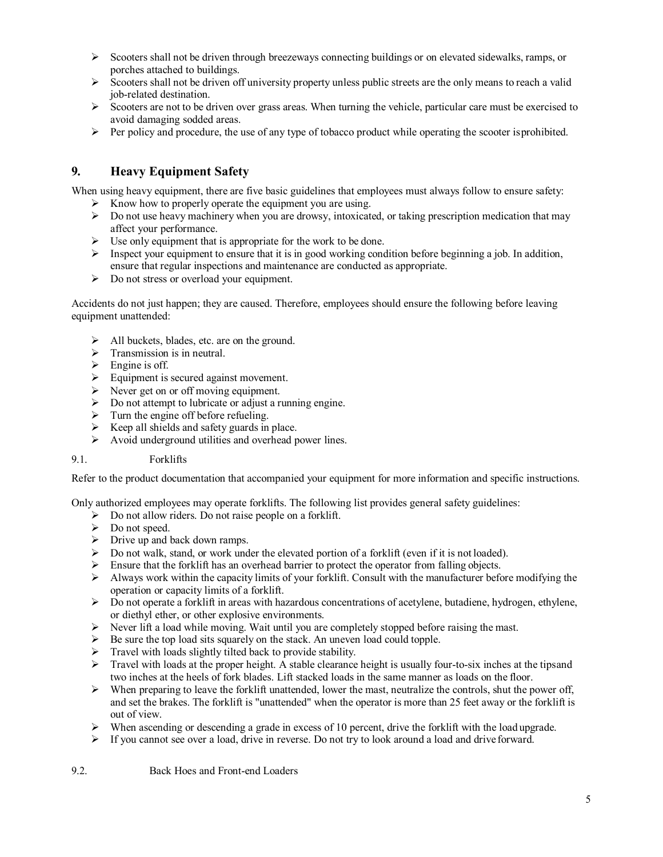- $\triangleright$  Scooters shall not be driven through breezeways connecting buildings or on elevated sidewalks, ramps, or porches attached to buildings.
- $\triangleright$  Scooters shall not be driven off university property unless public streets are the only means to reach a valid job-related destination.
- $\triangleright$  Scooters are not to be driven over grass areas. When turning the vehicle, particular care must be exercised to avoid damaging sodded areas.
- $\triangleright$  Per policy and procedure, the use of any type of tobacco product while operating the scooter isprohibited.

# <span id="page-4-0"></span>**9. Heavy Equipment Safety**

When using heavy equipment, there are five basic guidelines that employees must always follow to ensure safety:

- $\triangleright$  Know how to properly operate the equipment you are using.
- $\triangleright$  Do not use heavy machinery when you are drowsy, intoxicated, or taking prescription medication that may affect your performance.
- $\triangleright$  Use only equipment that is appropriate for the work to be done.
- $\triangleright$  Inspect your equipment to ensure that it is in good working condition before beginning a job. In addition, ensure that regular inspections and maintenance are conducted as appropriate.
- $\triangleright$  Do not stress or overload your equipment.

Accidents do not just happen; they are caused. Therefore, employees should ensure the following before leaving equipment unattended:

- > All buckets, blades, etc. are on the ground.
- $\triangleright$  Transmission is in neutral.
- $\triangleright$  Engine is off.
- $\triangleright$  Equipment is secured against movement.
- $\triangleright$  Never get on or off moving equipment.
- Do not attempt to lubricate or adjust a running engine.
- $\triangleright$  Turn the engine off before refueling.
- $\triangleright$  Keep all shields and safety guards in place.
- Avoid underground utilities and overhead power lines.

#### <span id="page-4-1"></span>9.1. Forklifts

Refer to the product documentation that accompanied your equipment for more information and specific instructions.

Only authorized employees may operate forklifts. The following list provides general safety guidelines:

- $\triangleright$  Do not allow riders. Do not raise people on a forklift.
- Do not speed.
- $\triangleright$  Drive up and back down ramps.
- $\triangleright$  Do not walk, stand, or work under the elevated portion of a forklift (even if it is not loaded).
- 
- Ensure that the forklift has an overhead barrier to protect the operator from falling objects.<br>
Always work within the capacity limits of your forklift. Consult with the manufacturer before Always work within the capacity limits of your forklift. Consult with the manufacturer before modifying the operation or capacity limits of a forklift.
- $\triangleright$  Do not operate a forklift in areas with hazardous concentrations of acetylene, butadiene, hydrogen, ethylene, or diethyl ether, or other explosive environments.
- $\triangleright$  Never lift a load while moving. Wait until you are completely stopped before raising the mast.
- Be sure the top load sits squarely on the stack. An uneven load could topple.
- Travel with loads slightly tilted back to provide stability.
- $\triangleright$  Travel with loads at the proper height. A stable clearance height is usually four-to-six inches at the tipsand two inches at the heels of fork blades. Lift stacked loads in the same manner as loads on the floor.
- $\triangleright$  When preparing to leave the forklift unattended, lower the mast, neutralize the controls, shut the power off, and set the brakes. The forklift is "unattended" when the operator is more than 25 feet away or the forklift is out of view.
- $\triangleright$  When ascending or descending a grade in excess of 10 percent, drive the forklift with the load upgrade.
- <span id="page-4-2"></span> $\triangleright$  If you cannot see over a load, drive in reverse. Do not try to look around a load and drive forward.